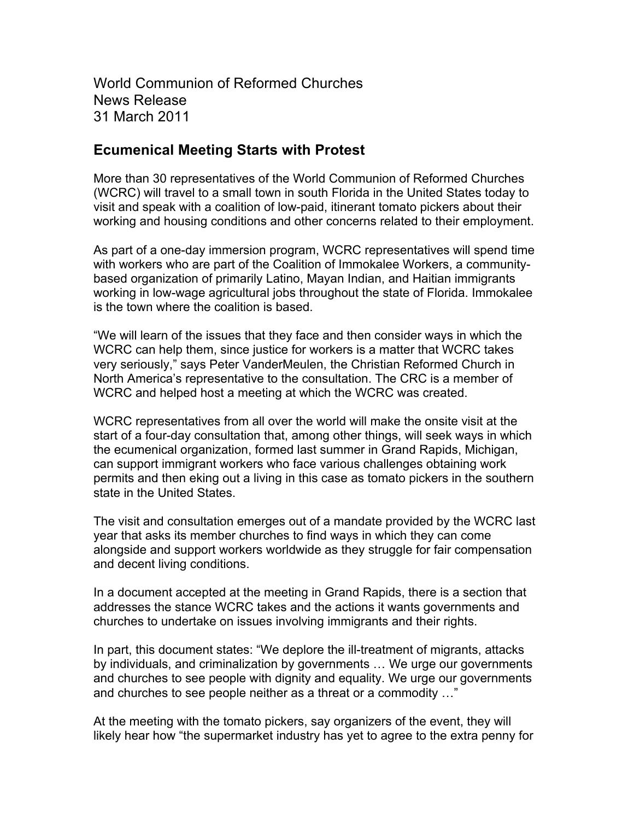World Communion of Reformed Churches News Release 31 March 2011

## **Ecumenical Meeting Starts with Protest**

More than 30 representatives of the World Communion of Reformed Churches (WCRC) will travel to a small town in south Florida in the United States today to visit and speak with a coalition of low-paid, itinerant tomato pickers about their working and housing conditions and other concerns related to their employment.

As part of a one-day immersion program, WCRC representatives will spend time with workers who are part of the Coalition of Immokalee Workers, a communitybased organization of primarily Latino, Mayan Indian, and Haitian immigrants working in low-wage agricultural jobs throughout the state of Florida. Immokalee is the town where the coalition is based.

"We will learn of the issues that they face and then consider ways in which the WCRC can help them, since justice for workers is a matter that WCRC takes very seriously," says Peter VanderMeulen, the Christian Reformed Church in North America's representative to the consultation. The CRC is a member of WCRC and helped host a meeting at which the WCRC was created.

WCRC representatives from all over the world will make the onsite visit at the start of a four-day consultation that, among other things, will seek ways in which the ecumenical organization, formed last summer in Grand Rapids, Michigan, can support immigrant workers who face various challenges obtaining work permits and then eking out a living in this case as tomato pickers in the southern state in the United States.

The visit and consultation emerges out of a mandate provided by the WCRC last year that asks its member churches to find ways in which they can come alongside and support workers worldwide as they struggle for fair compensation and decent living conditions.

In a document accepted at the meeting in Grand Rapids, there is a section that addresses the stance WCRC takes and the actions it wants governments and churches to undertake on issues involving immigrants and their rights.

In part, this document states: "We deplore the ill-treatment of migrants, attacks by individuals, and criminalization by governments … We urge our governments and churches to see people with dignity and equality. We urge our governments and churches to see people neither as a threat or a commodity …"

At the meeting with the tomato pickers, say organizers of the event, they will likely hear how "the supermarket industry has yet to agree to the extra penny for